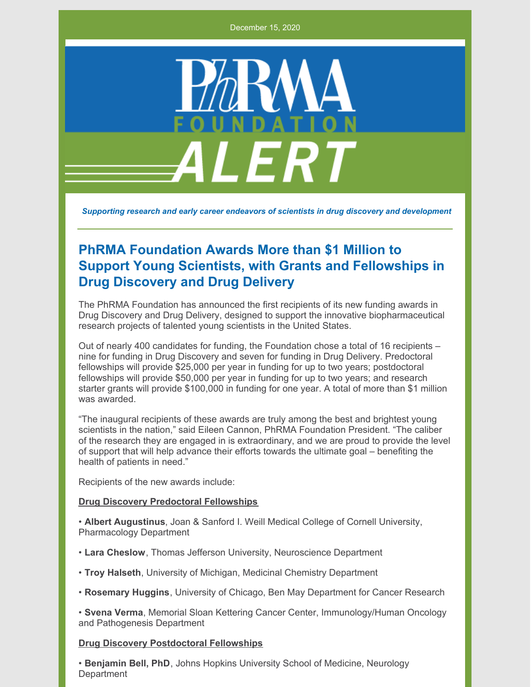December 15, 2020



*Supporting research and early career endeavors of scientists in drug discovery and development*

# **PhRMA Foundation Awards More than \$1 Million to Support Young Scientists, with Grants and Fellowships in Drug Discovery and Drug Delivery**

The PhRMA Foundation has announced the first recipients of its new funding awards in Drug Discovery and Drug Delivery, designed to support the innovative biopharmaceutical research projects of talented young scientists in the United States.

Out of nearly 400 candidates for funding, the Foundation chose a total of 16 recipients – nine for funding in Drug Discovery and seven for funding in Drug Delivery. Predoctoral fellowships will provide \$25,000 per year in funding for up to two years; postdoctoral fellowships will provide \$50,000 per year in funding for up to two years; and research starter grants will provide \$100,000 in funding for one year. A total of more than \$1 million was awarded.

"The inaugural recipients of these awards are truly among the best and brightest young scientists in the nation," said Eileen Cannon, PhRMA Foundation President. "The caliber of the research they are engaged in is extraordinary, and we are proud to provide the level of support that will help advance their efforts towards the ultimate goal – benefiting the health of patients in need."

Recipients of the new awards include:

#### **Drug Discovery Predoctoral Fellowships**

• **Albert Augustinus**, Joan & Sanford I. Weill Medical College of Cornell University, Pharmacology Department

- **Lara Cheslow**, Thomas Jefferson University, Neuroscience Department
- **Troy Halseth**, University of Michigan, Medicinal Chemistry Department
- **Rosemary Huggins**, University of Chicago, Ben May Department for Cancer Research

• **Svena Verma**, Memorial Sloan Kettering Cancer Center, Immunology/Human Oncology and Pathogenesis Department

#### **Drug Discovery Postdoctoral Fellowships**

• **Benjamin Bell, PhD**, Johns Hopkins University School of Medicine, Neurology **Department**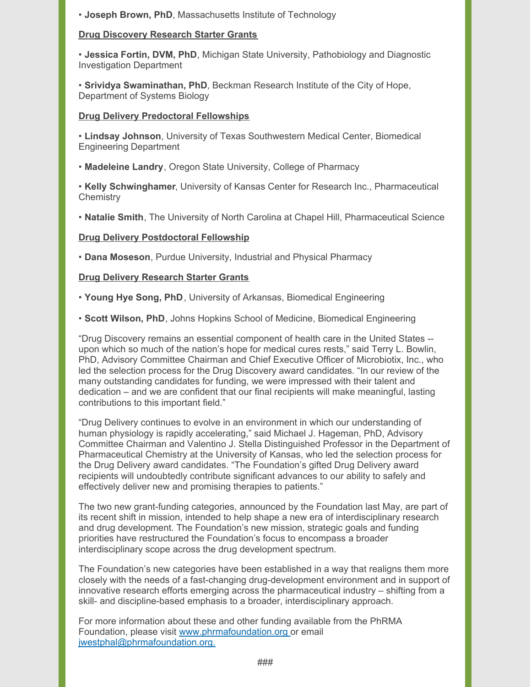• **Joseph Brown, PhD**, Massachusetts Institute of Technology

## **Drug Discovery Research Starter Grants**

• **Jessica Fortin, DVM, PhD**, Michigan State University, Pathobiology and Diagnostic Investigation Department

• **Srividya Swaminathan, PhD**, Beckman Research Institute of the City of Hope, Department of Systems Biology

### **Drug Delivery Predoctoral Fellowships**

• **Lindsay Johnson**, University of Texas Southwestern Medical Center, Biomedical Engineering Department

• **Madeleine Landry**, Oregon State University, College of Pharmacy

• **Kelly Schwinghamer**, University of Kansas Center for Research Inc., Pharmaceutical **Chemistry** 

• **Natalie Smith**, The University of North Carolina at Chapel Hill, Pharmaceutical Science

## **Drug Delivery Postdoctoral Fellowship**

• **Dana Moseson**, Purdue University, Industrial and Physical Pharmacy

## **Drug Delivery Research Starter Grants**

• **Young Hye Song, PhD**, University of Arkansas, Biomedical Engineering

• **Scott Wilson, PhD**, Johns Hopkins School of Medicine, Biomedical Engineering

"Drug Discovery remains an essential component of health care in the United States - upon which so much of the nation's hope for medical cures rests," said Terry L. Bowlin, PhD, Advisory Committee Chairman and Chief Executive Officer of Microbiotix, Inc., who led the selection process for the Drug Discovery award candidates. "In our review of the many outstanding candidates for funding, we were impressed with their talent and dedication – and we are confident that our final recipients will make meaningful, lasting contributions to this important field."

"Drug Delivery continues to evolve in an environment in which our understanding of human physiology is rapidly accelerating," said Michael J. Hageman, PhD, Advisory Committee Chairman and Valentino J. Stella Distinguished Professor in the Department of Pharmaceutical Chemistry at the University of Kansas, who led the selection process for the Drug Delivery award candidates. "The Foundation's gifted Drug Delivery award recipients will undoubtedly contribute significant advances to our ability to safely and effectively deliver new and promising therapies to patients."

The two new grant-funding categories, announced by the Foundation last May, are part of its recent shift in mission, intended to help shape a new era of interdisciplinary research and drug development. The Foundation's new mission, strategic goals and funding priorities have restructured the Foundation's focus to encompass a broader interdisciplinary scope across the drug development spectrum.

The Foundation's new categories have been established in a way that realigns them more closely with the needs of a fast-changing drug-development environment and in support of innovative research efforts emerging across the pharmaceutical industry – shifting from a skill- and discipline-based emphasis to a broader, interdisciplinary approach.

For more information about these and other funding available from the PhRMA Foundation, please visit [www.phrmafoundation.org](http://www.phrmafoundation.org) or email [jwestphal@phrmafoundation.org.](mailto:jwestphal@phrmafoundation.org.)